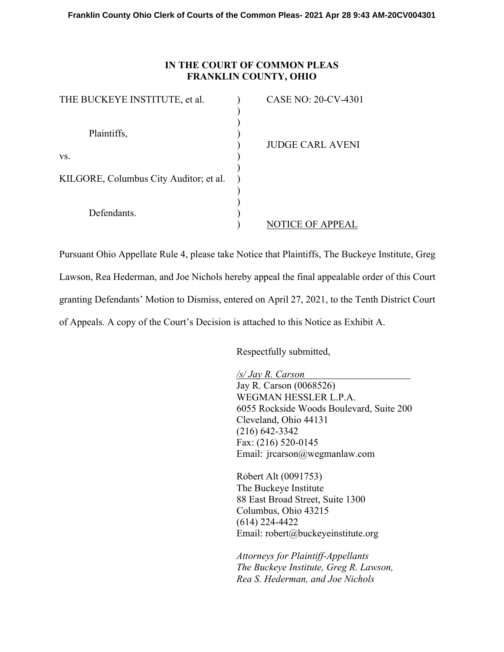## **IN THE COURT OF COMMON PLEAS FRANKLIN COUNTY, OHIO**

| THE BUCKEYE INSTITUTE, et al.          | <b>CASE NO: 20-CV-4301</b> |
|----------------------------------------|----------------------------|
| Plaintiffs,                            | <b>JUDGE CARL AVENI</b>    |
| VS.                                    |                            |
| KILGORE, Columbus City Auditor; et al. |                            |
| Defendants.                            | <b>TICE OF APPEAL</b>      |

Pursuant Ohio Appellate Rule 4, please take Notice that Plaintiffs, The Buckeye Institute, Greg Lawson, Rea Hederman, and Joe Nichols hereby appeal the final appealable order of this Court granting Defendants' Motion to Dismiss, entered on April 27, 2021, to the Tenth District Court of Appeals. A copy of the Court's Decision is attached to this Notice as Exhibit A.

Respectfully submitted,

*/s/ Jay R. Carson*  Jay R. Carson (0068526) WEGMAN HESSLER L.P.A. 6055 Rockside Woods Boulevard, Suite 200 Cleveland, Ohio 44131 (216) 642-3342 Fax: (216) 520-0145 Email: jrcarson@wegmanlaw.com

Robert Alt (0091753) The Buckeye Institute 88 East Broad Street, Suite 1300 Columbus, Ohio 43215 (614) 224-4422 Email: robert@buckeyeinstitute.org

*Attorneys for Plaintiff-Appellants The Buckeye Institute, Greg R. Lawson, Rea S. Hederman, and Joe Nichols*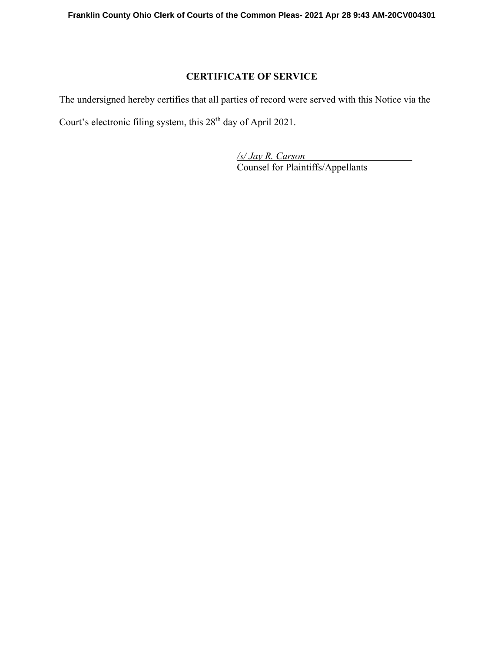# **CERTIFICATE OF SERVICE**

The undersigned hereby certifies that all parties of record were served with this Notice via the Court's electronic filing system, this 28<sup>th</sup> day of April 2021.

> */s/ Jay R. Carson*  Counsel for Plaintiffs/Appellants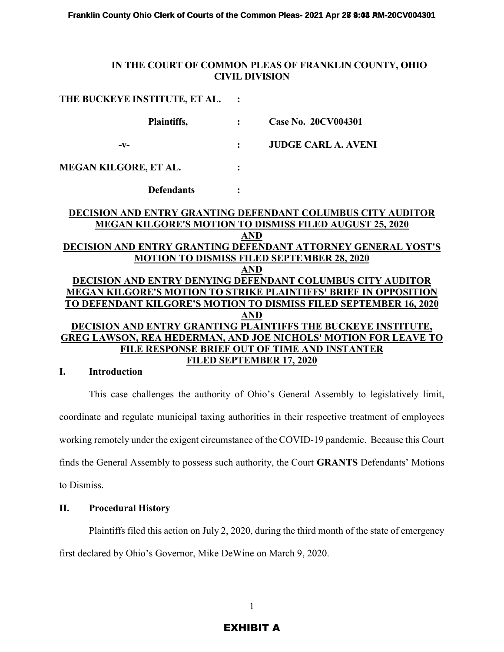### **IN THE COURT OF COMMON PLEAS OF FRANKLIN COUNTY, OHIO CIVIL DIVISION**

| THE BUCKEYE INSTITUTE, ET AL.                                   |                |                                                                                                                                         |  |
|-----------------------------------------------------------------|----------------|-----------------------------------------------------------------------------------------------------------------------------------------|--|
| Plaintiffs,                                                     |                | <b>Case No. 20CV004301</b>                                                                                                              |  |
| -v-                                                             | $\ddot{\cdot}$ | <b>JUDGE CARL A. AVENI</b>                                                                                                              |  |
| <b>MEGAN KILGORE, ET AL.</b>                                    |                |                                                                                                                                         |  |
| <b>Defendants</b>                                               |                |                                                                                                                                         |  |
|                                                                 |                | <b>DECISION AND ENTRY GRANTING DEFENDANT COLUMBUS CITY AUDITOR</b><br><b>MEGAN KILGORE'S MOTION TO DISMISS FILED AUGUST 25, 2020</b>    |  |
|                                                                 | <b>AND</b>     | DECISION AND ENTRY GRANTING DEFENDANT ATTORNEY GENERAL YOST'S                                                                           |  |
| <b>MOTION TO DISMISS FILED SEPTEMBER 28, 2020</b><br><b>AND</b> |                |                                                                                                                                         |  |
|                                                                 |                | DECISION AND ENTRY DENYING DEFENDANT COLUMBUS CITY AUDITOR<br><b>MEGAN KILGORE'S MOTION TO STRIKE PLAINTIFFS' BRIEF IN OPPOSITION</b>   |  |
|                                                                 | <b>AND</b>     | TO DEFENDANT KILGORE'S MOTION TO DISMISS FILED SEPTEMBER 16, 2020                                                                       |  |
|                                                                 |                | DECISION AND ENTRY GRANTING PLAINTIFFS THE BUCKEYE INSTITUTE,<br><b>GREG LAWSON, REA HEDERMAN, AND JOE NICHOLS' MOTION FOR LEAVE TO</b> |  |
|                                                                 |                | FILE RESPONSE BRIEF OUT OF TIME AND INSTANTER<br><b>FILED SEPTEMBER 17, 2020</b>                                                        |  |

### **I. Introduction**

This case challenges the authority of Ohio's General Assembly to legislatively limit, coordinate and regulate municipal taxing authorities in their respective treatment of employees working remotely under the exigent circumstance of the COVID-19 pandemic. Because this Court finds the General Assembly to possess such authority, the Court **GRANTS** Defendants' Motions to Dismiss.

### **II. Procedural History**

Plaintiffs filed this action on July 2, 2020, during the third month of the state of emergency first declared by Ohio's Governor, Mike DeWine on March 9, 2020.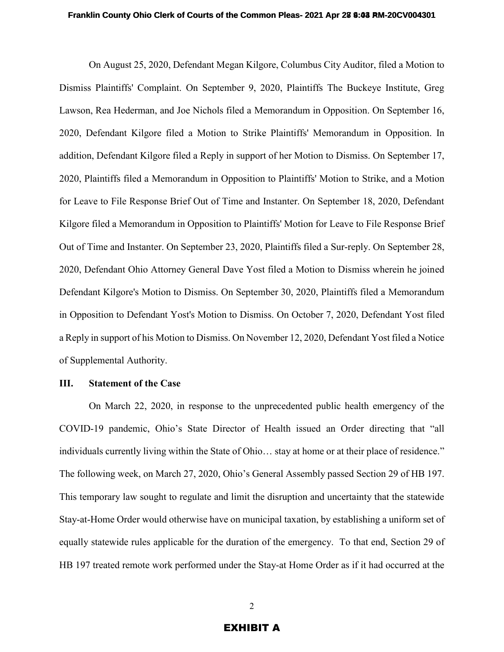On August 25, 2020, Defendant Megan Kilgore, Columbus City Auditor, filed a Motion to Dismiss Plaintiffs' Complaint. On September 9, 2020, Plaintiffs The Buckeye Institute, Greg Lawson, Rea Hederman, and Joe Nichols filed a Memorandum in Opposition. On September 16, 2020, Defendant Kilgore filed a Motion to Strike Plaintiffs' Memorandum in Opposition. In addition, Defendant Kilgore filed a Reply in support of her Motion to Dismiss. On September 17, 2020, Plaintiffs filed a Memorandum in Opposition to Plaintiffs' Motion to Strike, and a Motion for Leave to File Response Brief Out of Time and Instanter. On September 18, 2020, Defendant Kilgore filed a Memorandum in Opposition to Plaintiffs' Motion for Leave to File Response Brief Out of Time and Instanter. On September 23, 2020, Plaintiffs filed a Sur-reply. On September 28, 2020, Defendant Ohio Attorney General Dave Yost filed a Motion to Dismiss wherein he joined Defendant Kilgore's Motion to Dismiss. On September 30, 2020, Plaintiffs filed a Memorandum in Opposition to Defendant Yost's Motion to Dismiss. On October 7, 2020, Defendant Yost filed a Reply in support of his Motion to Dismiss. On November 12, 2020, Defendant Yost filed a Notice of Supplemental Authority.

#### **III. Statement of the Case**

On March 22, 2020, in response to the unprecedented public health emergency of the COVID-19 pandemic, Ohio's State Director of Health issued an Order directing that "all individuals currently living within the State of Ohio… stay at home or at their place of residence." The following week, on March 27, 2020, Ohio's General Assembly passed Section 29 of HB 197. This temporary law sought to regulate and limit the disruption and uncertainty that the statewide Stay-at-Home Order would otherwise have on municipal taxation, by establishing a uniform set of equally statewide rules applicable for the duration of the emergency. To that end, Section 29 of HB 197 treated remote work performed under the Stay-at Home Order as if it had occurred at the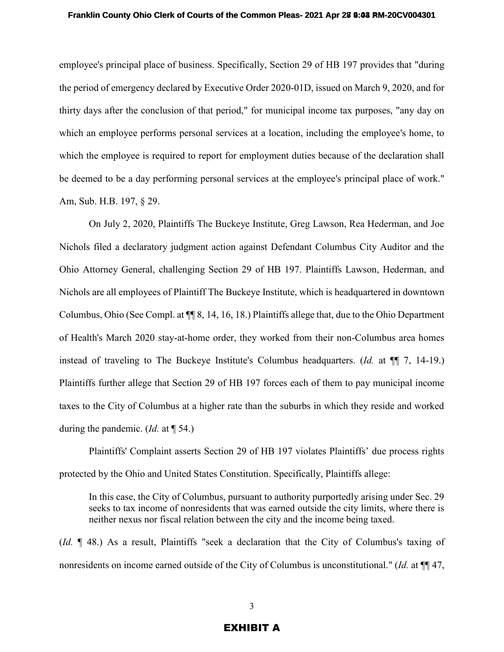employee's principal place of business. Specifically, Section 29 of HB 197 provides that "during the period of emergency declared by Executive Order 2020-01D, issued on March 9, 2020, and for thirty days after the conclusion of that period," for municipal income tax purposes, "any day on which an employee performs personal services at a location, including the employee's home, to which the employee is required to report for employment duties because of the declaration shall be deemed to be a day performing personal services at the employee's principal place of work." Am, Sub. H.B. 197, § 29.

On July 2, 2020, Plaintiffs The Buckeye Institute, Greg Lawson, Rea Hederman, and Joe Nichols filed a declaratory judgment action against Defendant Columbus City Auditor and the Ohio Attorney General, challenging Section 29 of HB 197. Plaintiffs Lawson, Hederman, and Nichols are all employees of Plaintiff The Buckeye Institute, which is headquartered in downtown Columbus, Ohio (See Compl. at ¶¶ 8, 14, 16, 18.) Plaintiffs allege that, due to the Ohio Department of Health's March 2020 stay-at-home order, they worked from their non-Columbus area homes instead of traveling to The Buckeye Institute's Columbus headquarters. (*Id.* at ¶¶ 7, 14-19.) Plaintiffs further allege that Section 29 of HB 197 forces each of them to pay municipal income taxes to the City of Columbus at a higher rate than the suburbs in which they reside and worked during the pandemic. (*Id.* at ¶ 54.)

Plaintiffs' Complaint asserts Section 29 of HB 197 violates Plaintiffs' due process rights protected by the Ohio and United States Constitution. Specifically, Plaintiffs allege:

In this case, the City of Columbus, pursuant to authority purportedly arising under Sec. 29 seeks to tax income of nonresidents that was earned outside the city limits, where there is neither nexus nor fiscal relation between the city and the income being taxed.

(*Id.* ¶ 48.) As a result, Plaintiffs "seek a declaration that the City of Columbus's taxing of nonresidents on income earned outside of the City of Columbus is unconstitutional." (*Id.* at  $\P$  47,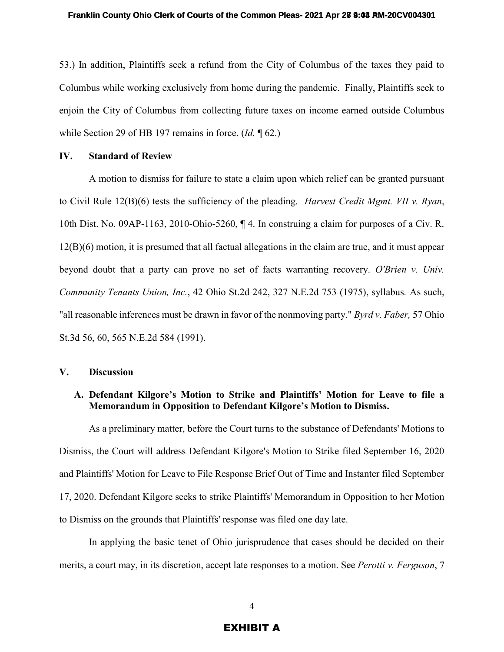53.) In addition, Plaintiffs seek a refund from the City of Columbus of the taxes they paid to Columbus while working exclusively from home during the pandemic. Finally, Plaintiffs seek to enjoin the City of Columbus from collecting future taxes on income earned outside Columbus while Section 29 of HB 197 remains in force. (*Id.* ¶ 62.)

#### **IV. Standard of Review**

A motion to dismiss for failure to state a claim upon which relief can be granted pursuant to Civil Rule 12(B)(6) tests the sufficiency of the pleading. *Harvest Credit Mgmt. VII v. Ryan*, 10th Dist. No. 09AP-1163, 2010-Ohio-5260, ¶ 4. In construing a claim for purposes of a Civ. R. 12(B)(6) motion, it is presumed that all factual allegations in the claim are true, and it must appear beyond doubt that a party can prove no set of facts warranting recovery. *O'Brien v. Univ. Community Tenants Union, Inc.*, 42 Ohio St.2d 242, 327 N.E.2d 753 (1975), syllabus*.* As such, "all reasonable inferences must be drawn in favor of the nonmoving party." *Byrd v. Faber,* 57 Ohio St.3d 56, 60, 565 N.E.2d 584 (1991).

### **V. Discussion**

## **A. Defendant Kilgore's Motion to Strike and Plaintiffs' Motion for Leave to file a Memorandum in Opposition to Defendant Kilgore's Motion to Dismiss.**

As a preliminary matter, before the Court turns to the substance of Defendants' Motions to Dismiss, the Court will address Defendant Kilgore's Motion to Strike filed September 16, 2020 and Plaintiffs' Motion for Leave to File Response Brief Out of Time and Instanter filed September 17, 2020. Defendant Kilgore seeks to strike Plaintiffs' Memorandum in Opposition to her Motion to Dismiss on the grounds that Plaintiffs' response was filed one day late.

In applying the basic tenet of Ohio jurisprudence that cases should be decided on their merits, a court may, in its discretion, accept late responses to a motion. See *Perotti v. Ferguson*, 7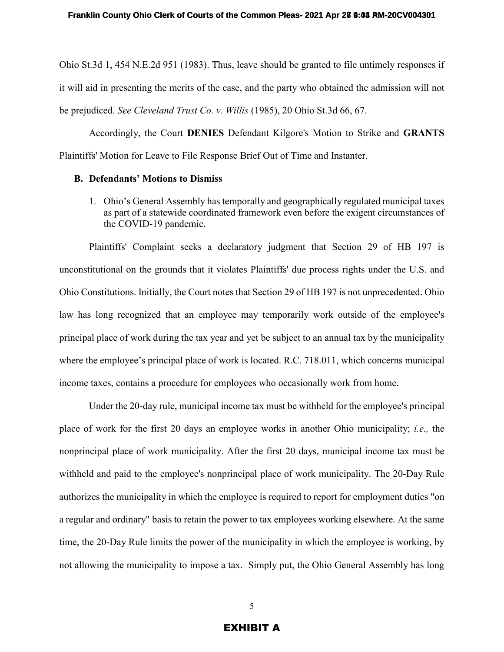Ohio St.3d 1, 454 N.E.2d 951 (1983). Thus, leave should be granted to file untimely responses if it will aid in presenting the merits of the case, and the party who obtained the admission will not be prejudiced. *See Cleveland Trust Co. v. Willis* (1985), 20 Ohio St.3d 66, 67.

Accordingly, the Court **DENIES** Defendant Kilgore's Motion to Strike and **GRANTS**  Plaintiffs' Motion for Leave to File Response Brief Out of Time and Instanter.

#### **B. Defendants' Motions to Dismiss**

1. Ohio's General Assembly has temporally and geographically regulated municipal taxes as part of a statewide coordinated framework even before the exigent circumstances of the COVID-19 pandemic.

Plaintiffs' Complaint seeks a declaratory judgment that Section 29 of HB 197 is unconstitutional on the grounds that it violates Plaintiffs' due process rights under the U.S. and Ohio Constitutions. Initially, the Court notes that Section 29 of HB 197 is not unprecedented. Ohio law has long recognized that an employee may temporarily work outside of the employee's principal place of work during the tax year and yet be subject to an annual tax by the municipality where the employee's principal place of work is located. R.C. 718.011, which concerns municipal income taxes, contains a procedure for employees who occasionally work from home.

Under the 20-day rule, municipal income tax must be withheld for the employee's principal place of work for the first 20 days an employee works in another Ohio municipality; *i.e.,* the nonprincipal place of work municipality. After the first 20 days, municipal income tax must be withheld and paid to the employee's nonprincipal place of work municipality. The 20-Day Rule authorizes the municipality in which the employee is required to report for employment duties "on a regular and ordinary" basis to retain the power to tax employees working elsewhere. At the same time, the 20-Day Rule limits the power of the municipality in which the employee is working, by not allowing the municipality to impose a tax. Simply put, the Ohio General Assembly has long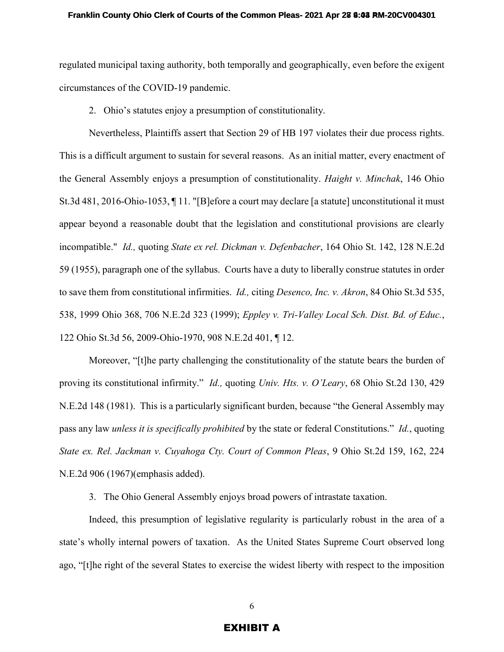regulated municipal taxing authority, both temporally and geographically, even before the exigent circumstances of the COVID-19 pandemic.

2. Ohio's statutes enjoy a presumption of constitutionality.

Nevertheless, Plaintiffs assert that Section 29 of HB 197 violates their due process rights. This is a difficult argument to sustain for several reasons. As an initial matter, every enactment of the General Assembly enjoys a presumption of constitutionality. *Haight v. Minchak*, 146 Ohio St.3d 481, 2016-Ohio-1053, ¶ 11. "[B]efore a court may declare [a statute] unconstitutional it must appear beyond a reasonable doubt that the legislation and constitutional provisions are clearly incompatible." *Id.,* quoting *State ex rel. Dickman v. Defenbacher*, 164 Ohio St. 142, 128 N.E.2d 59 (1955), paragraph one of the syllabus. Courts have a duty to liberally construe statutes in order to save them from constitutional infirmities. *Id.,* citing *Desenco, Inc. v. Akron*, 84 Ohio St.3d 535, 538, 1999 Ohio 368, 706 N.E.2d 323 (1999); *Eppley v. Tri-Valley Local Sch. Dist. Bd. of Educ.*, 122 Ohio St.3d 56, 2009-Ohio-1970, 908 N.E.2d 401, ¶ 12.

Moreover, "[t]he party challenging the constitutionality of the statute bears the burden of proving its constitutional infirmity." *Id.,* quoting *Univ. Hts. v. O'Leary*, 68 Ohio St.2d 130, 429 N.E.2d 148 (1981). This is a particularly significant burden, because "the General Assembly may pass any law *unless it is specifically prohibited* by the state or federal Constitutions." *Id.*, quoting *State ex. Rel. Jackman v. Cuyahoga Cty. Court of Common Pleas*, 9 Ohio St.2d 159, 162, 224 N.E.2d 906 (1967)(emphasis added).

3. The Ohio General Assembly enjoys broad powers of intrastate taxation.

Indeed, this presumption of legislative regularity is particularly robust in the area of a state's wholly internal powers of taxation. As the United States Supreme Court observed long ago, "[t]he right of the several States to exercise the widest liberty with respect to the imposition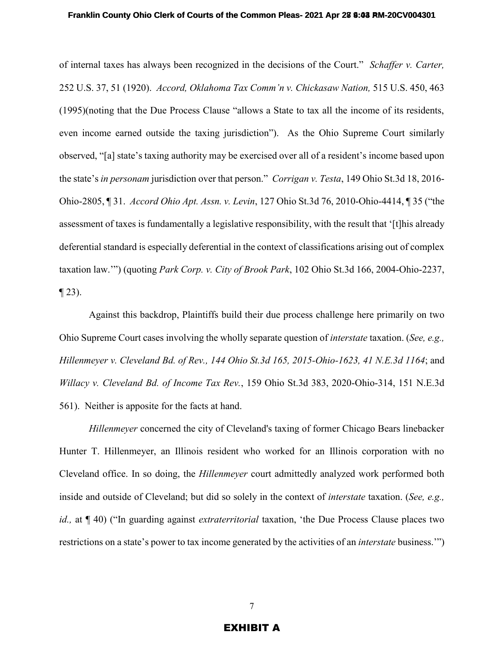of internal taxes has always been recognized in the decisions of the Court." *Schaffer v. Carter,* 252 U.S. 37, 51 (1920). *Accord, Oklahoma Tax Comm'n v. Chickasaw Nation,* 515 U.S. 450, 463 (1995)(noting that the Due Process Clause "allows a State to tax all the income of its residents, even income earned outside the taxing jurisdiction"). As the Ohio Supreme Court similarly observed, "[a] state's taxing authority may be exercised over all of a resident's income based upon the state's *in personam* jurisdiction over that person." *Corrigan v. Testa*, 149 Ohio St.3d 18, 2016- Ohio-2805, ¶ 31. *Accord Ohio Apt. Assn. v. Levin*, 127 Ohio St.3d 76, 2010-Ohio-4414, ¶ 35 ("the assessment of taxes is fundamentally a legislative responsibility, with the result that '[t]his already deferential standard is especially deferential in the context of classifications arising out of complex taxation law.'") (quoting *Park Corp. v. City of Brook Park*, 102 Ohio St.3d 166, 2004-Ohio-2237,  $\P$  23).

Against this backdrop, Plaintiffs build their due process challenge here primarily on two Ohio Supreme Court cases involving the wholly separate question of *interstate* taxation. (*See, e.g., Hillenmeyer v. Cleveland Bd. of Rev., 144 Ohio St.3d 165, 2015-Ohio-1623, 41 N.E.3d 1164*; and *Willacy v. Cleveland Bd. of Income Tax Rev.*, 159 Ohio St.3d 383, 2020-Ohio-314, 151 N.E.3d 561). Neither is apposite for the facts at hand.

*Hillenmeyer* concerned the city of Cleveland's taxing of former Chicago Bears linebacker Hunter T. Hillenmeyer, an Illinois resident who worked for an Illinois corporation with no Cleveland office. In so doing, the *Hillenmeyer* court admittedly analyzed work performed both inside and outside of Cleveland; but did so solely in the context of *interstate* taxation. (*See, e.g., id.,* at ¶ 40) ("In guarding against *extraterritorial* taxation, 'the Due Process Clause places two restrictions on a state's power to tax income generated by the activities of an *interstate* business.'")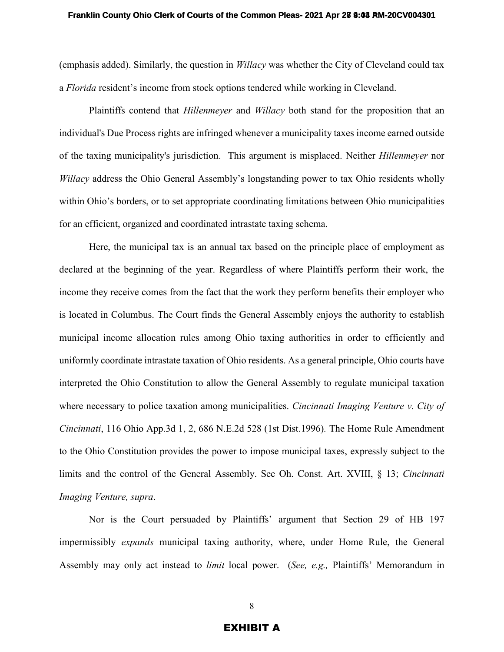(emphasis added). Similarly, the question in *Willacy* was whether the City of Cleveland could tax a *Florida* resident's income from stock options tendered while working in Cleveland.

Plaintiffs contend that *Hillenmeyer* and *Willacy* both stand for the proposition that an individual's Due Process rights are infringed whenever a municipality taxes income earned outside of the taxing municipality's jurisdiction. This argument is misplaced. Neither *Hillenmeyer* nor *Willacy* address the Ohio General Assembly's longstanding power to tax Ohio residents wholly within Ohio's borders, or to set appropriate coordinating limitations between Ohio municipalities for an efficient, organized and coordinated intrastate taxing schema.

Here, the municipal tax is an annual tax based on the principle place of employment as declared at the beginning of the year. Regardless of where Plaintiffs perform their work, the income they receive comes from the fact that the work they perform benefits their employer who is located in Columbus. The Court finds the General Assembly enjoys the authority to establish municipal income allocation rules among Ohio taxing authorities in order to efficiently and uniformly coordinate intrastate taxation of Ohio residents. As a general principle, Ohio courts have interpreted the Ohio Constitution to allow the General Assembly to regulate municipal taxation where necessary to police taxation among municipalities. *Cincinnati Imaging Venture v. City of Cincinnati*, 116 Ohio App.3d 1, 2, 686 N.E.2d 528 (1st Dist.1996)*.* The Home Rule Amendment to the Ohio Constitution provides the power to impose municipal taxes, expressly subject to the limits and the control of the General Assembly. See Oh. Const. Art. XVIII, § 13; *Cincinnati Imaging Venture, supra*.

Nor is the Court persuaded by Plaintiffs' argument that Section 29 of HB 197 impermissibly *expands* municipal taxing authority, where, under Home Rule, the General Assembly may only act instead to *limit* local power. (*See, e.g.,* Plaintiffs' Memorandum in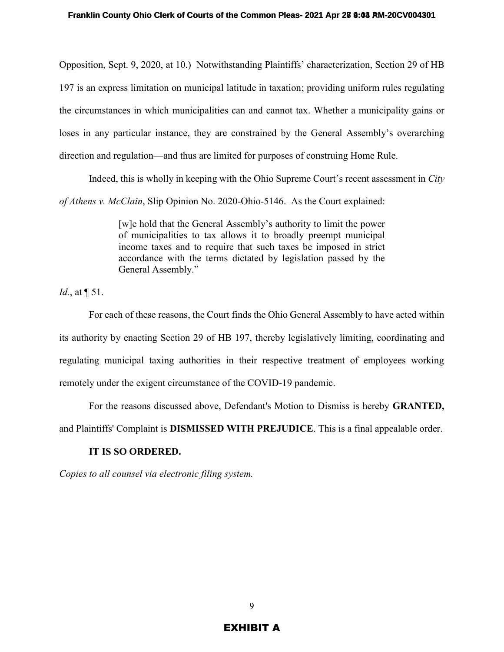Opposition, Sept. 9, 2020, at 10.) Notwithstanding Plaintiffs' characterization, Section 29 of HB 197 is an express limitation on municipal latitude in taxation; providing uniform rules regulating the circumstances in which municipalities can and cannot tax. Whether a municipality gains or loses in any particular instance, they are constrained by the General Assembly's overarching direction and regulation—and thus are limited for purposes of construing Home Rule.

Indeed, this is wholly in keeping with the Ohio Supreme Court's recent assessment in *City* 

*of Athens v. McClain*, Slip Opinion No. 2020-Ohio-5146. As the Court explained:

[w]e hold that the General Assembly's authority to limit the power of municipalities to tax allows it to broadly preempt municipal income taxes and to require that such taxes be imposed in strict accordance with the terms dictated by legislation passed by the General Assembly."

*Id.*, at  $\P$  51.

For each of these reasons, the Court finds the Ohio General Assembly to have acted within its authority by enacting Section 29 of HB 197, thereby legislatively limiting, coordinating and regulating municipal taxing authorities in their respective treatment of employees working remotely under the exigent circumstance of the COVID-19 pandemic.

For the reasons discussed above, Defendant's Motion to Dismiss is hereby **GRANTED,**

and Plaintiffs' Complaint is **DISMISSED WITH PREJUDICE**. This is a final appealable order.

## **IT IS SO ORDERED.**

*Copies to all counsel via electronic filing system.*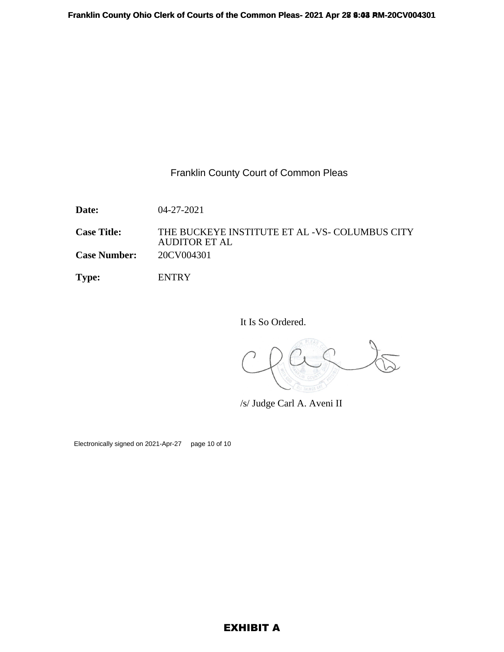## Franklin County Court of Common Pleas

**Date:** 04-27-2021

**Case Title:** THE BUCKEYE INSTITUTE ET AL -VS- COLUMBUS CITY AUDITOR ET AL **Case Number:** 20CV004301

**Type:** ENTRY

It Is So Ordered.

/s/ Judge Carl A. Aveni II

Electronically signed on 2021-Apr-27 page 10 of 10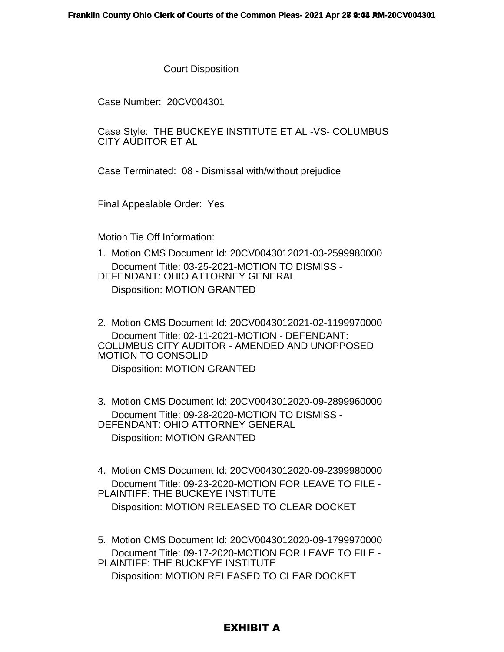Court Disposition

Case Number: 20CV004301

Case Style: THE BUCKEYE INSTITUTE ET AL -VS- COLUMBUS CITY AUDITOR ET AL

Case Terminated: 08 - Dismissal with/without prejudice

Final Appealable Order: Yes

Motion Tie Off Information:

1. Motion CMS Document Id: 20CV0043012021-03-2599980000 Document Title: 03-25-2021-MOTION TO DISMISS - DEFENDANT: OHIO ATTORNEY GENERAL Disposition: MOTION GRANTED

2. Motion CMS Document Id: 20CV0043012021-02-1199970000 Document Title: 02-11-2021-MOTION - DEFENDANT: COLUMBUS CITY AUDITOR - AMENDED AND UNOPPOSED MOTION TO CONSOLID

Disposition: MOTION GRANTED

3. Motion CMS Document Id: 20CV0043012020-09-2899960000 Document Title: 09-28-2020-MOTION TO DISMISS - DEFENDANT: OHIO ATTORNEY GENERAL Disposition: MOTION GRANTED

4. Motion CMS Document Id: 20CV0043012020-09-2399980000 Document Title: 09-23-2020-MOTION FOR LEAVE TO FILE - PLAINTIFF: THE BUCKEYE INSTITUTE

Disposition: MOTION RELEASED TO CLEAR DOCKET

5. Motion CMS Document Id: 20CV0043012020-09-1799970000 Document Title: 09-17-2020-MOTION FOR LEAVE TO FILE - PLAINTIFF: THE BUCKEYE INSTITUTE Disposition: MOTION RELEASED TO CLEAR DOCKET